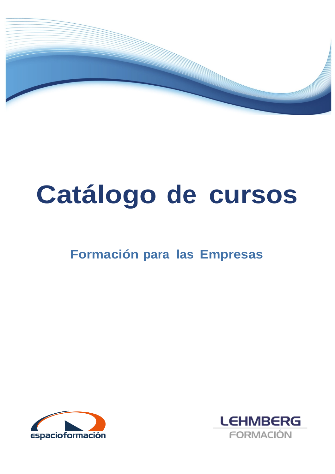

# **Catálogo de cursos**

# **Formación para las Empresas**



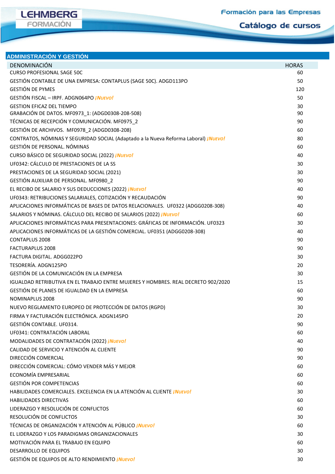# **LEHMBERG** FORMACIÓN

## **ADMINISTRACIÓN Y GESTIÓN**

| DENOMINACIÓN                                                                                                                      | <b>HORAS</b> |
|-----------------------------------------------------------------------------------------------------------------------------------|--------------|
| <b>CURSO PROFESIONAL SAGE 50C</b>                                                                                                 | 60           |
| GESTIÓN CONTABLE DE UNA EMPRESA: CONTAPLUS (SAGE 50C). ADGD113PO                                                                  | 50           |
| <b>GESTIÓN DE PYMES</b>                                                                                                           | 120          |
| GESTIÓN FISCAL - IRPF. ADGN064PO <i>iNUEVO!</i>                                                                                   | 50           |
| <b>GESTION EFICAZ DEL TIEMPO</b>                                                                                                  | 30           |
| GRABACIÓN DE DATOS. MF0973_1: (ADGD0308-208-508)                                                                                  | 90           |
| TÉCNICAS DE RECEPCIÓN Y COMUNICACIÓN. MF0975 2                                                                                    | 90           |
| GESTIÓN DE ARCHIVOS. MF0978_2 (ADGD0308-208)                                                                                      | 60           |
| CONTRATOS, NÓMINAS Y SEGURIDAD SOCIAL (Adaptado a la Nueva Reforma Laboral) <i>iNuevo!</i><br><b>GESTIÓN DE PERSONAL. NÓMINAS</b> | 80           |
|                                                                                                                                   | 60           |
| CURSO BÁSICO DE SEGURIDAD SOCIAL (2022) ¡NUEVO!<br>UF0342: CÁLCULO DE PRESTACIONES DE LA SS                                       | 40<br>30     |
| PRESTACIONES DE LA SEGURIDAD SOCIAL (2021)                                                                                        |              |
| GESTIÓN AUXILIAR DE PERSONAL. MF0980 2                                                                                            | 30<br>90     |
|                                                                                                                                   | 40           |
| EL RECIBO DE SALARIO Y SUS DEDUCCIONES (2022) ¡NUEVO!<br>UF0343: RETRIBUCIONES SALARIALES, COTIZACIÓN Y RECAUDACIÓN               | 90           |
| APLICACIONES INFORMÁTICAS DE BASES DE DATOS RELACIONALES. UF0322 (ADGG0208-308)                                                   | 40           |
| SALARIOS Y NÓMINAS. CÁLCULO DEL RECIBO DE SALARIOS (2022) <i>¡NUEVO!</i>                                                          | 60           |
| APLICACIONES INFORMÁTICAS PARA PRESENTACIONES: GRÁFICAS DE INFORMACIÓN. UF0323                                                    | 30           |
| APLICACIONES INFORMÁTICAS DE LA GESTIÓN COMERCIAL. UF0351 (ADGG0208-308)                                                          | 40           |
| <b>CONTAPLUS 2008</b>                                                                                                             | 90           |
| <b>FACTURAPLUS 2008</b>                                                                                                           | 90           |
| FACTURA DIGITAL, ADGG022PO                                                                                                        | 30           |
| TESORERÍA. ADGN125PO                                                                                                              | 20           |
| GESTIÓN DE LA COMUNICACIÓN EN LA EMPRESA                                                                                          | 30           |
| IGUALDAD RETRIBUTIVA EN EL TRABAJO ENTRE MUJERES Y HOMBRES. REAL DECRETO 902/2020                                                 | 15           |
| GESTIÓN DE PLANES DE IGUALDAD EN LA EMPRESA                                                                                       | 60           |
| NOMINAPLUS 2008                                                                                                                   | 90           |
| NUEVO REGLAMENTO EUROPEO DE PROTECCIÓN DE DATOS (RGPD)                                                                            | 30           |
| FIRMA Y FACTURACIÓN ELECTRÓNICA. ADGN145PO                                                                                        | 20           |
| <b>GESTIÓN CONTABLE. UF0314.</b>                                                                                                  | 90           |
| UF0341: CONTRATACIÓN LABORAL                                                                                                      | 60           |
| MODALIDADES DE CONTRATACIÓN (2022) ¡NUEVO!                                                                                        | 40           |
| CALIDAD DE SERVICIO Y ATENCIÓN AL CLIENTE                                                                                         | 90           |
| DIRECCIÓN COMERCIAL                                                                                                               | 90           |
| DIRECCIÓN COMERCIAL: CÓMO VENDER MÁS Y MEJOR                                                                                      | 60           |
| ECONOMÍA EMPRESARIAL                                                                                                              | 60           |
| <b>GESTIÓN POR COMPETENCIAS</b>                                                                                                   | 60           |
| HABILIDADES COMERCIALES. EXCELENCIA EN LA ATENCIÓN AL CLIENTE <i>iNuevo!</i>                                                      | 30           |
| <b>HABILIDADES DIRECTIVAS</b>                                                                                                     | 60           |
| LIDERAZGO Y RESOLUCIÓN DE CONFLICTOS                                                                                              | 60           |
| RESOLUCIÓN DE CONFLICTOS                                                                                                          | 30           |
| TÉCNICAS DE ORGANIZACIÓN Y ATENCIÓN AL PÚBLICO <i>¡NUEVO!</i>                                                                     | 60           |
| EL LIDERAZGO Y LOS PARADIGMAS ORGANIZACIONALES                                                                                    | 30           |
| MOTIVACIÓN PARA EL TRABAJO EN EQUIPO                                                                                              | 60           |
| <b>DESARROLLO DE EQUIPOS</b>                                                                                                      | 30           |
| GESTIÓN DE EQUIPOS DE ALTO RENDIMIENTO ¡NUEVO!                                                                                    | 30           |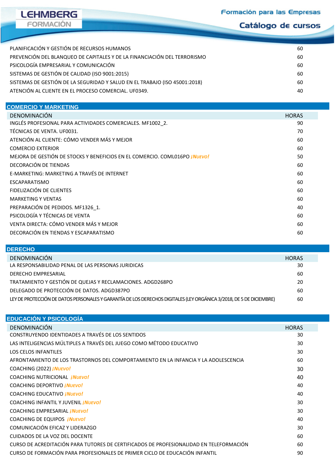

Catálogo de cursos

| PLANIFICACIÓN Y GESTIÓN DE RECURSOS HUMANOS                                | 60 |
|----------------------------------------------------------------------------|----|
| PREVENCIÓN DEL BLANQUEO DE CAPITALES Y DE LA FINANCIACIÓN DEL TERRORISMO   | 60 |
| PSICOLOGÍA EMPRESARIAL Y COMUNICACIÓN                                      | 60 |
| SISTEMAS DE GESTIÓN DE CALIDAD (ISO 9001:2015)                             | 60 |
| SISTEMAS DE GESTIÓN DE LA SEGURIDAD Y SALUD EN EL TRABAJO (ISO 45001:2018) | 60 |
| ATENCIÓN AL CLIENTE EN EL PROCESO COMERCIAL. UF0349.                       | 40 |
|                                                                            |    |

| <b>COMERCIO Y MARKETING</b>                                                        |              |
|------------------------------------------------------------------------------------|--------------|
| DENOMINACIÓN                                                                       | <b>HORAS</b> |
| INGLÉS PROFESIONAL PARA ACTIVIDADES COMERCIALES. MF1002 2.                         | 90           |
| TÉCNICAS DE VENTA, UF0031.                                                         | 70           |
| ATENCIÓN AL CLIENTE: CÓMO VENDER MÁS Y MEJOR                                       | 60           |
| <b>COMERCIO EXTERIOR</b>                                                           | 60           |
| MEJORA DE GESTIÓN DE STOCKS Y BENEFICIOS EN EL COMERCIO. COML016PO <i>i Nuevo!</i> | 50           |
| DECORACIÓN DE TIENDAS                                                              | 60           |
| E-MARKETING: MARKETING A TRAVÉS DE INTERNET                                        | 60           |
| <b>ESCAPARATISMO</b>                                                               | 60           |
| FIDELIZACIÓN DE CLIENTES                                                           | 60           |
| <b>MARKETING Y VENTAS</b>                                                          | 60           |
| PREPARACIÓN DE PEDIDOS. MF1326 1.                                                  | 40           |
| PSICOLOGÍA Y TÉCNICAS DE VENTA                                                     | 60           |
| VENTA DIRECTA: CÓMO VENDER MÁS Y MEJOR                                             | 60           |
| DECORACIÓN EN TIENDAS Y ESCAPARATISMO                                              | 60           |
|                                                                                    |              |

| <b>DERECHO</b>                                                                                                      |              |  |
|---------------------------------------------------------------------------------------------------------------------|--------------|--|
| DENOMINACIÓN                                                                                                        | <b>HORAS</b> |  |
| LA RESPONSABILIDAD PENAL DE LAS PERSONAS JURIDICAS                                                                  | 30           |  |
| <b>DERECHO EMPRESARIAL</b>                                                                                          | 60           |  |
| TRATAMIENTO Y GESTIÓN DE QUEJAS Y RECLAMACIONES. ADGD268PO                                                          | 20           |  |
| DELEGADO DE PROTECCIÓN DE DATOS. ADGD387PO                                                                          | 60           |  |
| LEY DE PROTECCIÓN DE DATOS PERSONALES Y GARANTÍA DE LOS DERECHOS DIGITALES (LEY ORGÁNICA 3/2018, DE 5 DE DICIEMBRE) | 60           |  |

| <b>EDUCACIÓN Y PSICOLOGÍA</b>                                                          |              |  |
|----------------------------------------------------------------------------------------|--------------|--|
| DENOMINACIÓN                                                                           | <b>HORAS</b> |  |
| CONSTRUYENDO IDENTIDADES A TRAVÉS DE LOS SENTIDOS                                      | 30           |  |
| LAS INTELIGENCIAS MÚLTIPLES A TRAVÉS DEL JUEGO COMO MÉTODO EDUCATIVO                   | 30           |  |
| <b>LOS CELOS INFANTILES</b>                                                            | 30           |  |
| AFRONTAMIENTO DE LOS TRASTORNOS DEL COMPORTAMIENTO EN LA INFANCIA Y LA ADOLESCENCIA    | 60           |  |
| COACHING (2022) <i>¡NUEVO!</i>                                                         | 30           |  |
| <b>COACHING NUTRICIONAL ¡NUEVO!</b>                                                    | 40           |  |
| <b>COACHING DEPORTIVO <i>iNUEVO!</i></b>                                               | 40           |  |
| <b>COACHING EDUCATIVO <i>iNUEVO!</i></b>                                               | 40           |  |
| <b>COACHING INFANTIL Y JUVENIL <i>iNUEVO!</i></b>                                      | 30           |  |
| COACHING EMPRESARIAL <i>INUEVO!</i>                                                    | 30           |  |
| COACHING DE EQUIPOS <i>¡NUEVO!</i>                                                     | 40           |  |
| COMUNICACIÓN EFICAZ Y LIDERAZGO                                                        | 30           |  |
| <b>CUIDADOS DE LA VOZ DEL DOCENTE</b>                                                  | 60           |  |
| CURSO DE ACREDITACIÓN PARA TUTORES DE CERTIFICADOS DE PROFESIONALIDAD EN TELEFORMACIÓN | 60           |  |
| CURSO DE FORMACIÓN PARA PROFESIONALES DE PRIMER CICLO DE EDUCACIÓN INFANTIL            | 90           |  |
|                                                                                        |              |  |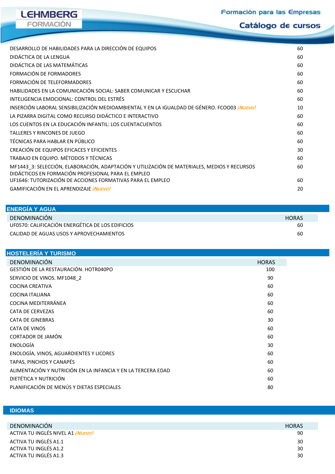

Catálogo de cursos

| DESARROLLO DE HABILIDADES PARA LA DIRECCIÓN DE EQUIPOS                                                                                            | 60 |
|---------------------------------------------------------------------------------------------------------------------------------------------------|----|
| DIDÁCTICA DE LA LENGUA                                                                                                                            | 60 |
| DIDÁCTICA DE LAS MATEMÁTICAS                                                                                                                      | 60 |
| FORMACIÓN DE FORMADORES                                                                                                                           | 60 |
| FORMACIÓN DE TELEFORMADORES                                                                                                                       | 60 |
| HABILIDADES EN LA COMUNICACIÓN SOCIAL: SABER COMUNICAR Y ESCUCHAR                                                                                 | 60 |
| INTELIGENCIA EMOCIONAL: CONTROL DEL ESTRÉS                                                                                                        | 60 |
| INSERCIÓN LABORAL SENSIBILIZACIÓN MEDIOAMBIENTAL Y EN LA IGUALDAD DE GÉNERO. FCOO03 INVEVO!                                                       | 10 |
| LA PIZARRA DIGITAL COMO RECURSO DIDÁCTICO E INTERACTIVO                                                                                           | 60 |
| LOS CUENTOS EN LA EDUCACIÓN INFANTIL: LOS CUENTACUENTOS                                                                                           | 60 |
| TALLERES Y RINCONES DE JUEGO                                                                                                                      | 60 |
| TÉCNICAS PARA HABLAR EN PÚBLICO                                                                                                                   | 60 |
| CREACIÓN DE EQUIPOS EFICACES Y EFICIENTES                                                                                                         | 30 |
| TRABAJO EN EQUIPO. MÉTODOS Y TÉCNICAS                                                                                                             | 60 |
| MF1443 3: SELECCIÓN, ELABORACIÓN, ADAPTACIÓN Y UTILIZACIÓN DE MATERIALES, MEDIOS Y RECURSOS<br>DIDÁCTICOS EN FORMACIÓN PROFESIONAL PARA EL EMPLEO | 60 |
| UF1646: TUTORIZACIÓN DE ACCIONES FORMATIVAS PARA EL EMPLEO                                                                                        | 60 |
| GAMIFICACIÓN EN EL APRENDIZAJE <i>¡NUEVO!</i>                                                                                                     | 20 |

| <b>ENERGIA Y AGUA</b>                            |              |  |
|--------------------------------------------------|--------------|--|
| DENOMINACIÓN                                     | <b>HORAS</b> |  |
| UF0570: CALIFICACIÓN ENERGÉTICA DE LOS EDIFICIOS | 60           |  |
| CALIDAD DE AGUAS USOS Y APROVECHAMIENTOS         | 60           |  |

| HOSTELERIA Y TURISMO                                         |              |
|--------------------------------------------------------------|--------------|
| DENOMINACIÓN                                                 | <b>HORAS</b> |
| GESTIÓN DE LA RESTAURACIÓN. HOTR040PO                        | 100          |
| SERVICIO DE VINOS. MF1048 2                                  | 90           |
| <b>COCINA CREATIVA</b>                                       | 60           |
| <b>COCINA ITALIANA</b>                                       | 60           |
| COCINA MEDITERRÁNEA                                          | 60           |
| <b>CATA DE CERVEZAS</b>                                      | 60           |
| <b>CATA DE GINEBRAS</b>                                      | 30           |
| CATA DE VINOS                                                | 60           |
| CORTADOR DE JAMÓN                                            | 60           |
| ENOLOGÍA                                                     | 30           |
| ENOLOGÍA, VINOS, AGUARDIENTES Y LICORES                      | 60           |
| TAPAS, PINCHOS Y CANAPÉS                                     | 60           |
| ALIMENTACIÓN Y NUTRICIÓN EN LA INFANCIA Y EN LA TERCERA EDAD | 60           |
| DIETÉTICA Y NUTRICIÓN                                        | 60           |
| PLANIFICACIÓN DE MENÚS Y DIETAS ESPECIALES                   | 80           |
|                                                              |              |

### **IDIOMAS**

**IOMAS ODALIDAD ONLINE**

| DENOMINACIÓN                             | <b>HORAS</b> |
|------------------------------------------|--------------|
| ACTIVA TU INGLÉS NIVEL A1 <i>¡Nuevo!</i> | 90           |
| ACTIVA TU INGLÉS A1.1                    | 30           |
| ACTIVA TU INGLÉS A1.2                    | 30           |
| ACTIVA TU INGLÉS A1.3                    | 30           |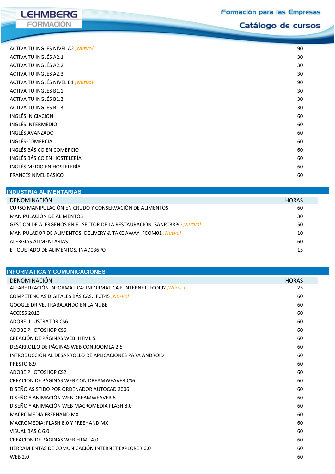**LEHMBERG** FORMACIÓN

Catálogo de cursos

| 90 |
|----|
| 30 |
| 30 |
| 30 |
| 90 |
| 30 |
| 30 |
| 30 |
| 60 |
| 60 |
| 60 |
| 60 |
| 60 |
| 60 |
| 60 |
| 60 |
|    |

| INDUSTRIA ALIMENTARIAS                                                         |              |  |
|--------------------------------------------------------------------------------|--------------|--|
| DENOMINACIÓN                                                                   | <b>HORAS</b> |  |
| CURSO MANIPULACIÓN EN CRUDO Y CONSERVACIÓN DE ALIMENTOS                        | 60           |  |
| MANIPULACIÓN DE ALIMENTOS                                                      | 30           |  |
| GESTIÓN DE ALÉRGENOS EN EL SECTOR DE LA RESTAURACIÓN. SANP038PO <i>iNUEVO!</i> | 50           |  |
| MANIPULADOR DE ALIMENTOS. DELIVERY & TAKE AWAY. FCOM01 <i>iNUEVO!</i>          | 10           |  |
| ALERGIAS ALIMENTARIAS                                                          | 60           |  |
| ETIQUETADO DE ALIMENTOS, INAD036PO                                             | 15           |  |

| <b>INFORMÁTICA Y COMUNICACIONES</b>                                       |              |
|---------------------------------------------------------------------------|--------------|
| DENOMINACIÓN                                                              | <b>HORAS</b> |
| ALFABETIZACIÓN INFORMÁTICA: INFORMÁTICA E INTERNET. FCOI02 <i>¡NUEVO!</i> | 25           |
| COMPETENCIAS DIGITALES BÁSICAS. IFCT45 <i>INUEVO!</i>                     | 60           |
| GOOGLE DRIVE. TRABAJANDO EN LA NUBE                                       | 60           |
| ACCESS 2013                                                               | 60           |
| ADOBE ILLUSTRATOR CS6                                                     | 60           |
| ADOBE PHOTOSHOP CS6                                                       | 60           |
| CREACIÓN DE PÁGINAS WEB: HTML 5                                           | 60           |
| DESARROLLO DE PÁGINAS WEB CON JOOMLA 2.5                                  | 60           |
| INTRODUCCIÓN AL DESARROLLO DE APLICACIONES PARA ANDROID                   | 60           |
| PRESTO 8.9                                                                | 60           |
| ADOBE PHOTOSHOP CS2                                                       | 60           |
| CREACIÓN DE PÁGINAS WEB CON DREAMWEAVER CS6                               | 60           |
| DISEÑO ASISTIDO POR ORDENADOR AUTOCAD 2006                                | 60           |
| DISEÑO Y ANIMACIÓN WEB DREAMWEAVER 8                                      | 60           |
| DISEÑO Y ANIMACIÓN WEB MACROMEDIA FLASH 8.0                               | 60           |
| MACROMEDIA FREEHAND MX                                                    | 60           |
| MACROMEDIA: FLASH 8.0 Y FREEHAND MX                                       | 60           |
| VISUAL BASIC 6.0                                                          | 60           |
| CREACIÓN DE PÁGINAS WEB HTML 4.0                                          | 60           |
| HERRAMIENTAS DE COMUNICACIÓN INTERNET EXPLORER 6.0                        | 60           |
| <b>WFB 2.0</b>                                                            | 60           |
|                                                                           |              |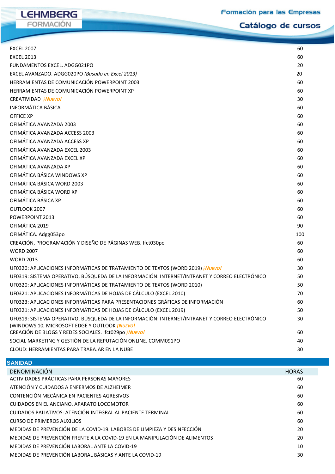**LEHMBERG** FORMACIÓN

Catálogo de cursos

| <b>EXCEL 2007</b>                                                                             | 60  |
|-----------------------------------------------------------------------------------------------|-----|
| <b>EXCEL 2013</b>                                                                             | 60  |
| FUNDAMENTOS EXCEL. ADGG021PO                                                                  | 20  |
| EXCEL AVANZADO. ADGG020PO (Basado en Excel 2013)                                              | 20  |
| HERRAMIENTAS DE COMUNICACIÓN POWERPOINT 2003                                                  | 60  |
| HERRAMIENTAS DE COMUNICACIÓN POWERPOINT XP                                                    | 60  |
| CREATIVIDAD <i>¡NUEVO!</i>                                                                    | 30  |
| <b>INFORMÁTICA BÁSICA</b>                                                                     | 60  |
| <b>OFFICE XP</b>                                                                              | 60  |
| OFIMÁTICA AVANZADA 2003                                                                       | 60  |
| OFIMÁTICA AVANZADA ACCESS 2003                                                                | 60  |
| OFIMÁTICA AVANZADA ACCESS XP                                                                  | 60  |
| OFIMÁTICA AVANZADA EXCEL 2003                                                                 | 60  |
| OFIMÁTICA AVANZADA EXCEL XP                                                                   | 60  |
| OFIMÁTICA AVANZADA XP                                                                         | 60  |
| OFIMÁTICA BÁSICA WINDOWS XP                                                                   | 60  |
| OFIMÁTICA BÁSICA WORD 2003                                                                    | 60  |
| OFIMÁTICA BÁSICA WORD XP                                                                      | 60  |
| OFIMÁTICA BÁSICA XP                                                                           | 60  |
| OUTLOOK 2007                                                                                  | 60  |
| POWERPOINT 2013                                                                               | 60  |
| OFIMÁTICA 2019                                                                                | 90  |
| OFIMÁTICA. Adgg053po                                                                          | 100 |
| CREACIÓN, PROGRAMACIÓN Y DISEÑO DE PÁGINAS WEB. Ifct030po                                     | 60  |
| <b>WORD 2007</b>                                                                              | 60  |
| <b>WORD 2013</b>                                                                              | 60  |
| UF0320: APLICACIONES INFORMÁTICAS DE TRATAMIENTO DE TEXTOS (WORD 2019) ¡NUEVO!                | 30  |
| UF0319: SISTEMA OPERATIVO, BÚSQUEDA DE LA INFORMACIÓN: INTERNET/INTRANET Y CORREO ELECTRÓNICO | 50  |
| UF0320: APLICACIONES INFORMÁTICAS DE TRATAMIENTO DE TEXTOS (WORD 2010)                        | 50  |
| UF0321: APLICACIONES INFORMÁTICAS DE HOJAS DE CÁLCULO (EXCEL 2010)                            | 70  |
| UF0323: APLICACIONES INFORMÁTICAS PARA PRESENTACIONES GRÁFICAS DE INFORMACIÓN                 | 60  |
| UF0321: APLICACIONES INFORMÁTICAS DE HOJAS DE CÁLCULO (EXCEL 2019)                            | 50  |
| UF0319: SISTEMA OPERATIVO, BÚSQUEDA DE LA INFORMACIÓN: INTERNET/INTRANET Y CORREO ELECTRÓNICO | 30  |
| (WINDOWS 10, MICROSOFT EDGE Y OUTLOOK <i>¡NUEVO!</i>                                          |     |
| CREACIÓN DE BLOGS Y REDES SOCIALES. Ifct029po ¡NUEVO!                                         | 60  |
| SOCIAL MARKETING Y GESTIÓN DE LA REPUTACIÓN ONLINE. COMM091PO                                 | 40  |
| CLOUD: HERRAMIENTAS PARA TRABAJAR EN LA NUBE                                                  | 30  |

| <b>SANIDAD</b>                                                             |              |
|----------------------------------------------------------------------------|--------------|
| DENOMINACIÓN                                                               | <b>HORAS</b> |
| ACTIVIDADES PRÁCTICAS PARA PERSONAS MAYORES                                | 60           |
| ATENCIÓN Y CUIDADOS A ENFERMOS DE ALZHEIMER                                | 60           |
| CONTENCIÓN MECÁNICA EN PACIENTES AGRESIVOS                                 | 60           |
| CUIDADOS EN EL ANCIANO. APARATO LOCOMOTOR                                  | 60           |
| CUIDADOS PALIATIVOS: ATENCIÓN INTEGRAL AL PACIENTE TERMINAL                | 60           |
| <b>CURSO DE PRIMEROS AUXILIOS</b>                                          | 60           |
| MEDIDAS DE PREVENCIÓN DE LA COVID-19. LABORES DE LIMPIEZA Y DESINFECCIÓN   | 20           |
| MEDIDAS DE PREVENCIÓN FRENTE A LA COVID-19 EN LA MANIPULACIÓN DE ALIMENTOS | 20           |
| MEDIDAS DE PREVENCIÓN LABORAL ANTE LA COVID-19                             | 10           |
| MEDIDAS DE PREVENCIÓN LABORAL BÁSICAS Y ANTE LA COVID-19                   | 30           |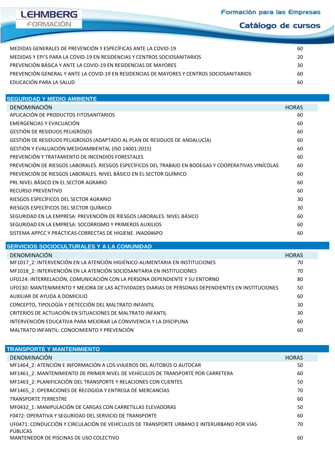**LEHMBERG** FORMACIÓN

Catálogo de cursos

| MEDIDAS GENERALES DE PREVENCIÓN Y ESPECÍFICAS ANTE LA COVID-19                            | 60 |
|-------------------------------------------------------------------------------------------|----|
| MEDIDAS Y EPI'S PARA LA COVID-19 EN RESIDENCIAS Y CENTROS SOCIOSANITARIOS                 | 20 |
| PREVENCIÓN BÁSICA Y ANTE LA COVID-19 EN RESIDENCIAS DE MAYORES                            | 30 |
| PREVENCIÓN GENERAL Y ANTE LA COVID-19 EN RESIDENCIAS DE MAYORES Y CENTROS SOCIOSANITARIOS | 60 |
| EDUCACIÓN PARA LA SALUD                                                                   | 60 |

#### **SEGURIDAD Y MEDIO AMBIENTE**

| DENOMINACIÓN                                                                                         | <b>HORAS</b> |
|------------------------------------------------------------------------------------------------------|--------------|
| APLICACIÓN DE PRODUCTOS FITOSANITARIOS                                                               | 60           |
| EMERGENCIAS Y EVACUACIÓN                                                                             | 60           |
| <b>GESTIÓN DE RESIDUOS PELIGROSOS</b>                                                                | 60           |
| GESTIÓN DE RESIDUOS PELIGROSOS (ADAPTADO AL PLAN DE RESIDUOS DE ANDALUCÍA)                           | 60           |
| GESTIÓN Y EVALUACIÓN MEDIOAMBIENTAL (ISO 14001:2015)                                                 | 60           |
| PREVENCIÓN Y TRATAMIENTO DE INCENDIOS FORESTALES                                                     | 60           |
| PREVENCIÓN DE RIESGOS LABORALES. RIESGOS ESPECÍFICOS DEL TRABAJO EN BODEGAS Y COOPERATIVAS VINÍCOLAS | 60           |
| PREVENCIÓN DE RIESGOS LABORALES. NIVEL BÁSICO EN EL SECTOR QUÍMICO                                   | 60           |
| PRL NIVEL BÁSICO EN EL SECTOR AGRARIO                                                                | 60           |
| <b>RECURSO PREVENTIVO</b>                                                                            | 60           |
| RIESGOS ESPECÍFICOS DEL SECTOR AGRARIO                                                               | 30           |
| RIESGOS ESPECÍFICOS DEL SECTOR QUÍMICO                                                               | 30           |
| SEGURIDAD EN LA EMPRESA: PREVENCIÓN DE RIESGOS LABORALES. NIVEL BÁSICO                               | 60           |
| SEGURIDAD EN LA EMPRESA: SOCORRISMO Y PRIMEROS AUXILIOS                                              | 60           |
| SISTEMA APPCC Y PRÁCTICAS CORRECTAS DE HIGIENE. INAD046PO                                            | 60           |
|                                                                                                      |              |

#### **SERVICIOS SOCIOCULTURALES Y A LA COMUNIDAD**

| DENOMINACIÓN                                                                                        | <b>HORAS</b> |
|-----------------------------------------------------------------------------------------------------|--------------|
| MF1017 2: INTERVENCIÓN EN LA ATENCIÓN HIGIÉNICO-ALIMENTARIA EN INSTITUCIONES                        | 70           |
| MF1018 2: INTERVENCIÓN EN LA ATENCIÓN SOCIOSANITARIA EN INSTITUCIONES                               | 70           |
| UF0124: INTERRELACIÓN, COMUNICACIÓN CON LA PERSONA DEPENDIENTE Y SU ENTORNO                         | 80           |
| UF0130: MANTENIMIENTO Y MEJORA DE LAS ACTIVIDADES DIARIAS DE PERSONAS DEPENDIENTES EN INSTITUCIONES | 50           |
| AUXILIAR DE AYUDA A DOMICILIO                                                                       | 60           |
| CONCEPTO, TIPOLOGÍA Y DETECCIÓN DEL MALTRATO INFANTIL                                               | 30           |
| CRITERIOS DE ACTUACIÓN EN SITUACIONES DE MALTRATO INFANTIL                                          | 30           |
| INTERVENCIÓN EDUCATIVA PARA MEJORAR LA CONVIVENCIA Y LA DISCIPLINA                                  | 60           |
| MALTRATO INFANTIL: CONOCIMIENTO Y PREVENCIÓN                                                        | 60           |

| <b>TRANSPORTE Y MANTENIMIENTO</b>                                                                     |              |
|-------------------------------------------------------------------------------------------------------|--------------|
| DENOMINACIÓN                                                                                          | <b>HORAS</b> |
| MF1464_2: ATENCIÓN E INFORMACIÓN A LOS VIAJEROS DEL AUTOBÚS O AUTOCAR                                 | 50           |
| MF1461 2: MANTENIMIENTO DE PRIMER NIVEL DE VEHÍCULOS DE TRANSPORTE POR CARRETERA                      | 60           |
| MF1463_2: PLANIFICACIÓN DEL TRANSPORTE Y RELACIONES CON CLIENTES                                      | 50           |
| MF1465 2: OPERACIONES DE RECOGIDA Y ENTREGA DE MERCANCÍAS                                             | 70           |
| <b>TRANSPORTE TERRESTRE</b>                                                                           | 60           |
| MF0432_1: MANIPULACIÓN DE CARGAS CON CARRETILLAS ELEVADORAS                                           | 50           |
| F0472: OPERATIVA Y SEGURIDAD DEL SERVICIO DE TRANSPORTE                                               | 60           |
| UF0471: CONDUCCIÓN Y CIRCULACIÓN DE VEHÍCULOS DE TRANSPORTE URBANO E INTERURBANO POR VÍAS<br>PÚBLICAS | 70           |
| MANTENEDOR DE PISCINAS DE USO COLECTIVO                                                               | 60           |